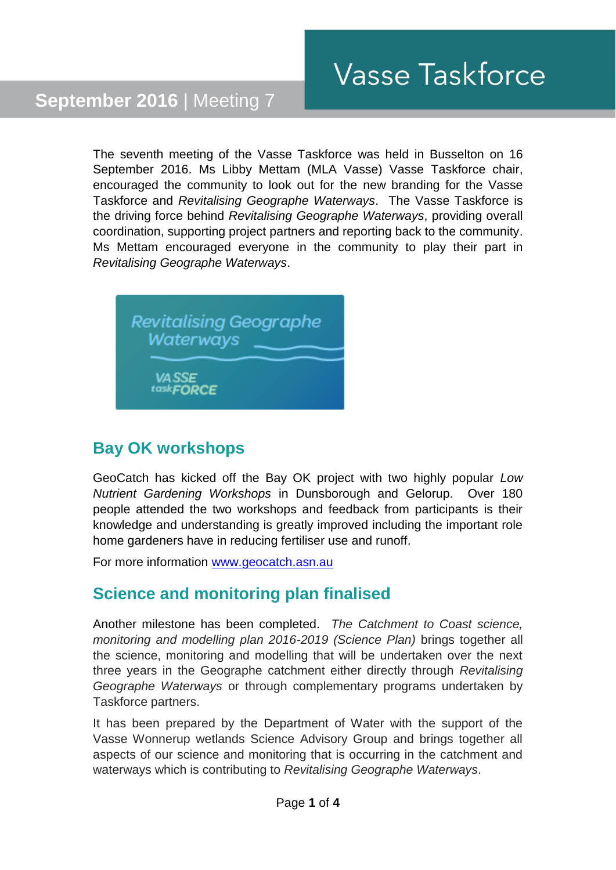The seventh meeting of the Vasse Taskforce was held in Busselton on 16 September 2016. Ms Libby Mettam (MLA Vasse) Vasse Taskforce chair, encouraged the community to look out for the new branding for the Vasse Taskforce and *Revitalising Geographe Waterways*. The Vasse Taskforce is the driving force behind *Revitalising Geographe Waterways*, providing overall coordination, supporting project partners and reporting back to the community. Ms Mettam encouraged everyone in the community to play their part in *Revitalising Geographe Waterways*.

**Revitalising Geographe** Waterways

> VA SSE task**FORCE**

# **Bay OK workshops**

GeoCatch has kicked off the Bay OK project with two highly popular *Low Nutrient Gardening Workshops* in Dunsborough and Gelorup. Over 180 people attended the two workshops and feedback from participants is their knowledge and understanding is greatly improved including the important role home gardeners have in reducing fertiliser use and runoff.

For more information [www.geocatch.asn.au](http://www.geocatch.asn.au/) 

#### **Science and monitoring plan finalised**

Another milestone has been completed. *The Catchment to Coast science, monitoring and modelling plan 2016-2019 (Science Plan)* brings together all the science, monitoring and modelling that will be undertaken over the next three years in the Geographe catchment either directly through *Revitalising Geographe Waterways* or through complementary programs undertaken by Taskforce partners.

It has been prepared by the Department of Water with the support of the Vasse Wonnerup wetlands Science Advisory Group and brings together all aspects of our science and monitoring that is occurring in the catchment and waterways which is contributing to *Revitalising Geographe Waterways*.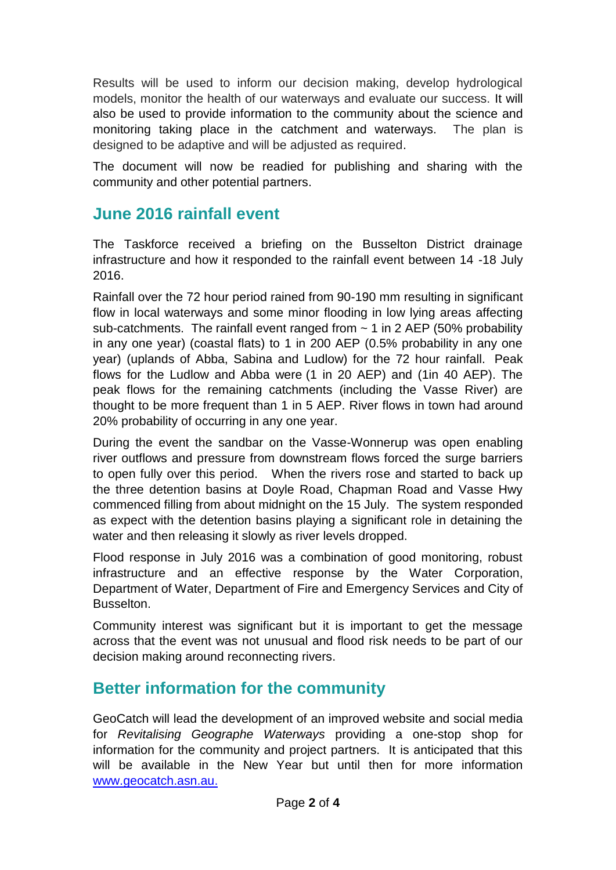Results will be used to inform our decision making, develop hydrological models, monitor the health of our waterways and evaluate our success. It will also be used to provide information to the community about the science and monitoring taking place in the catchment and waterways. The plan is designed to be adaptive and will be adjusted as required.

The document will now be readied for publishing and sharing with the community and other potential partners.

# **June 2016 rainfall event**

The Taskforce received a briefing on the Busselton District drainage infrastructure and how it responded to the rainfall event between 14 -18 July 2016.

Rainfall over the 72 hour period rained from 90-190 mm resulting in significant flow in local waterways and some minor flooding in low lying areas affecting sub-catchments. The rainfall event ranged from  $\sim$  1 in 2 AEP (50% probability in any one year) (coastal flats) to 1 in 200 AEP (0.5% probability in any one year) (uplands of Abba, Sabina and Ludlow) for the 72 hour rainfall. Peak flows for the Ludlow and Abba were (1 in 20 AEP) and (1in 40 AEP). The peak flows for the remaining catchments (including the Vasse River) are thought to be more frequent than 1 in 5 AEP. River flows in town had around 20% probability of occurring in any one year.

During the event the sandbar on the Vasse-Wonnerup was open enabling river outflows and pressure from downstream flows forced the surge barriers to open fully over this period. When the rivers rose and started to back up the three detention basins at Doyle Road, Chapman Road and Vasse Hwy commenced filling from about midnight on the 15 July. The system responded as expect with the detention basins playing a significant role in detaining the water and then releasing it slowly as river levels dropped.

Flood response in July 2016 was a combination of good monitoring, robust infrastructure and an effective response by the Water Corporation, Department of Water, Department of Fire and Emergency Services and City of Busselton.

Community interest was significant but it is important to get the message across that the event was not unusual and flood risk needs to be part of our decision making around reconnecting rivers.

### **Better information for the community**

GeoCatch will lead the development of an improved website and social media for *Revitalising Geographe Waterways* providing a one-stop shop for information for the community and project partners. It is anticipated that this will be available in the New Year but until then for more information [www.geocatch.asn.au.](http://www.geocatch.asn.au/)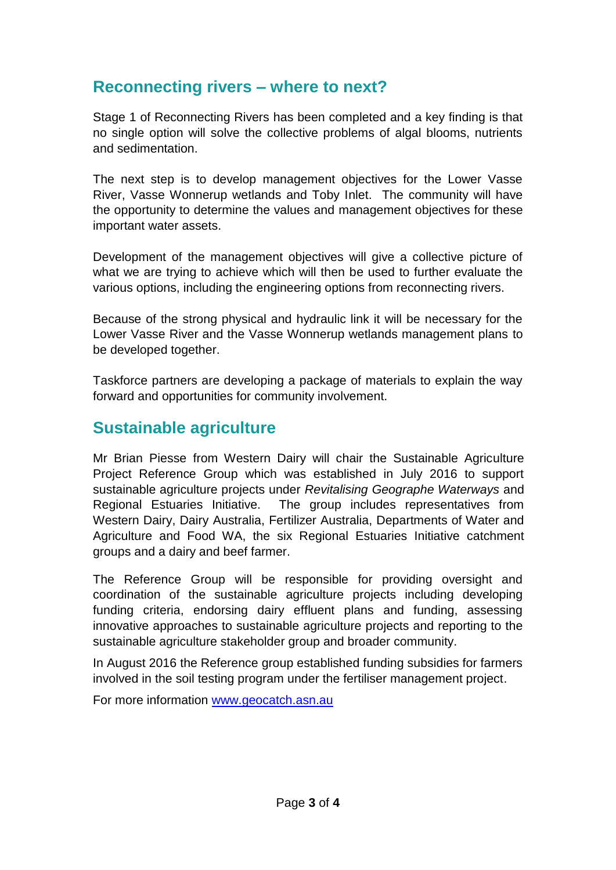#### **Reconnecting rivers – where to next?**

Stage 1 of Reconnecting Rivers has been completed and a key finding is that no single option will solve the collective problems of algal blooms, nutrients and sedimentation.

The next step is to develop management objectives for the Lower Vasse River, Vasse Wonnerup wetlands and Toby Inlet. The community will have the opportunity to determine the values and management objectives for these important water assets.

Development of the management objectives will give a collective picture of what we are trying to achieve which will then be used to further evaluate the various options, including the engineering options from reconnecting rivers.

Because of the strong physical and hydraulic link it will be necessary for the Lower Vasse River and the Vasse Wonnerup wetlands management plans to be developed together.

Taskforce partners are developing a package of materials to explain the way forward and opportunities for community involvement.

#### **Sustainable agriculture**

Mr Brian Piesse from Western Dairy will chair the Sustainable Agriculture Project Reference Group which was established in July 2016 to support sustainable agriculture projects under *Revitalising Geographe Waterways* and Regional Estuaries Initiative. The group includes representatives from Western Dairy, Dairy Australia, Fertilizer Australia, Departments of Water and Agriculture and Food WA, the six Regional Estuaries Initiative catchment groups and a dairy and beef farmer.

The Reference Group will be responsible for providing oversight and coordination of the sustainable agriculture projects including developing funding criteria, endorsing dairy effluent plans and funding, assessing innovative approaches to sustainable agriculture projects and reporting to the sustainable agriculture stakeholder group and broader community.

In August 2016 the Reference group established funding subsidies for farmers involved in the soil testing program under the fertiliser management project.

For more information [www.geocatch.asn.au](http://www.geocatch.asn.au/)